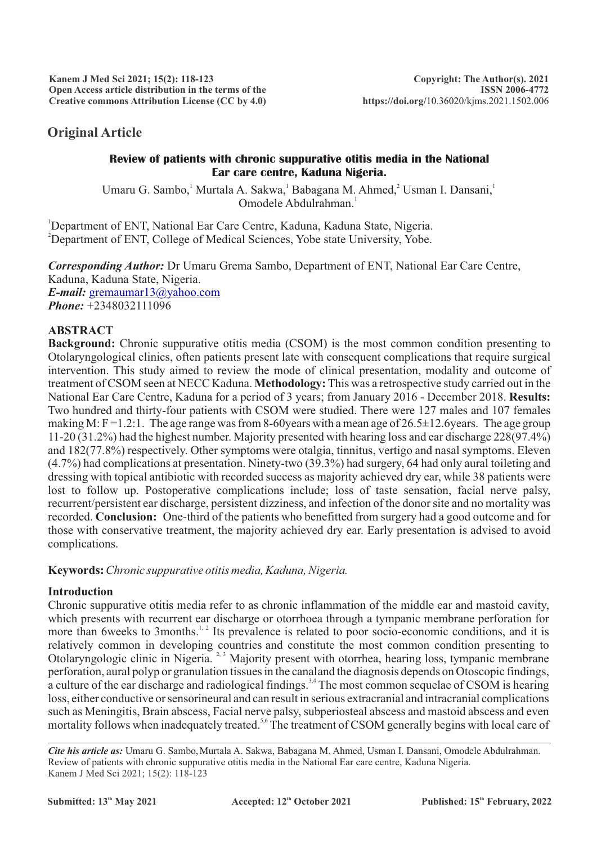# **Original Article**

## **Review of patients with chronic suppurative otitis media in the National Ear care centre, Kaduna Nigeria.**

Umaru G. Sambo, Murtala A. Sakwa, Babagana M. Ahmed, Usman I. Dansani, Omodele Abdulrahman.<sup>1</sup>

<sup>1</sup>Department of ENT, National Ear Care Centre, Kaduna, Kaduna State, Nigeria. <sup>2</sup>Department of ENT, College of Medical Sciences, Yobe state University, Yobe.

*Corresponding Author:* Dr Umaru Grema Sambo, Department of ENT, National Ear Care Centre, Kaduna, Kaduna State, Nigeria. *E-mail:* [gremaumar13@yahoo.com](mailto:gremaumar13@yahoo.com) *Phone:* +2348032111096

## **ABSTRACT**

**Background:** Chronic suppurative otitis media (CSOM) is the most common condition presenting to Otolaryngological clinics, often patients present late with consequent complications that require surgical intervention. This study aimed to review the mode of clinical presentation, modality and outcome of treatment of CSOM seen at NECC Kaduna. **Methodology:**This was a retrospective study carried out in the National Ear Care Centre, Kaduna for a period of 3 years; from January 2016 - December 2018. **Results:** Two hundred and thirty-four patients with CSOM were studied. There were 127 males and 107 females making M:  $F = 1.2:1$ . The age range was from 8-60 years with a mean age of  $26.5 \pm 12.6$  years. The age group 11-20 (31.2%) had the highest number. Majority presented with hearing loss and ear discharge 228(97.4%) and 182(77.8%) respectively. Other symptoms were otalgia, tinnitus, vertigo and nasal symptoms. Eleven (4.7%) had complications at presentation. Ninety-two (39.3%) had surgery, 64 had only aural toileting and dressing with topical antibiotic with recorded success as majority achieved dry ear, while 38 patients were lost to follow up. Postoperative complications include; loss of taste sensation, facial nerve palsy, recurrent/persistent ear discharge, persistent dizziness, and infection of the donor site and no mortality was recorded. **Conclusion:** One-third of the patients who benefitted from surgery had a good outcome and for those with conservative treatment, the majority achieved dry ear. Early presentation is advised to avoid complications.

## **Keywords:** *Chronic suppurative otitis media, Kaduna, Nigeria.*

## **Introduction**

Chronic suppurative otitis media refer to as chronic inflammation of the middle ear and mastoid cavity, which presents with recurrent ear discharge or otorrhoea through a tympanic membrane perforation for more than 6weeks to 3months.<sup> $1, 2$ </sup> Its prevalence is related to poor socio-economic conditions, and it is relatively common in developing countries and constitute the most common condition presenting to Otolaryngologic clinic in Nigeria.<sup>2, 3</sup> Majority present with otorrhea, hearing loss, tympanic membrane perforation, aural polyp or granulation tissues in the canaland the diagnosis depends on Otoscopic findings, a culture of the ear discharge and radiological findings.<sup>3,4</sup> The most common sequelae of CSOM is hearing loss, either conductive or sensorineural and can result in serious extracranial and intracranial complications such as Meningitis, Brain abscess, Facial nerve palsy, subperiosteal abscess and mastoid abscess and even mortality follows when inadequately treated.<sup>5,6</sup> The treatment of CSOM generally begins with local care of

*Cite his article as:* Umaru G. Sambo,Murtala A. Sakwa, Babagana M. Ahmed, Usman I. Dansani, Omodele Abdulrahman. Review of patients with chronic suppurative otitis media in the National Ear care centre, Kaduna Nigeria. Kanem J Med Sci 2021; 15(2): 118-123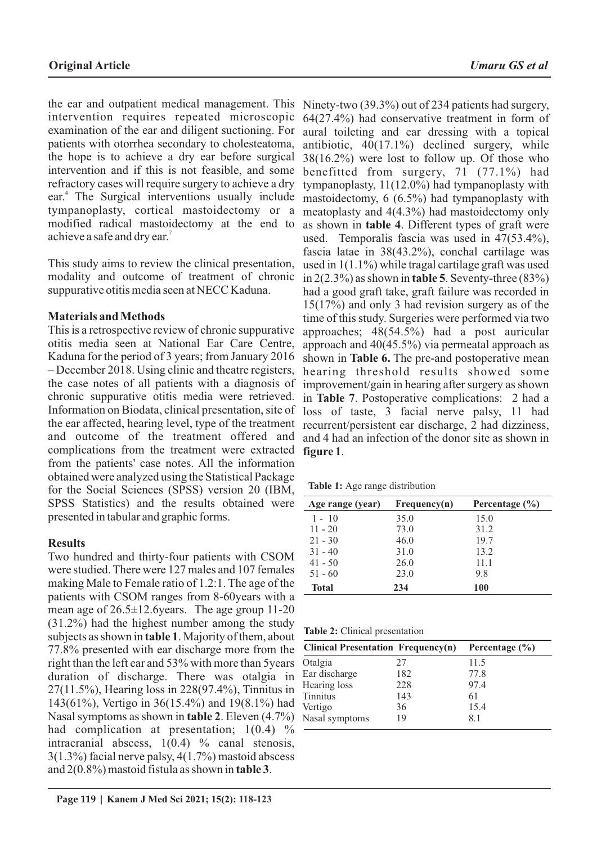the ear and outpatient medical management. This intervention requires repeated microscopic examination of the ear and diligent suctioning. For patients with otorrhea secondary to cholesteatoma, the hope is to achieve a dry ear before surgical intervention and if this is not feasible, and some refractory cases will require surgery to achieve a dry ear.<sup>4</sup> The Surgical interventions usually include tympanoplasty, cortical mastoidectomy or a modified radical mastoidectomy at the end to achieve a safe and dry ear.<sup>7</sup>

This study aims to review the clinical presentation, modality and outcome of treatment of chronic suppurative otitis media seen at NECC Kaduna.

## **Materials and Methods**

This is a retrospective review of chronic suppurative otitis media seen at National Ear Care Centre, Kaduna for the period of 3 years; from January 2016 – December 2018. Using clinic and theatre registers, the case notes of all patients with a diagnosis of chronic suppurative otitis media were retrieved. Information on Biodata, clinical presentation, site of the ear affected, hearing level, type of the treatment and outcome of the treatment offered and complications from the treatment were extracted from the patients' case notes. All the information obtained were analyzed using the Statistical Package for the Social Sciences (SPSS) version 20 (IBM, SPSS Statistics) and the results obtained were presented in tabular and graphic forms.

## **Results**

Two hundred and thirty-four patients with CSOM were studied. There were 127 males and 107 females making Male to Female ratio of 1.2:1. The age of the patients with CSOM ranges from 8-60years with a mean age of  $26.5 \pm 12.6$  years. The age group 11-20 (31.2%) had the highest number among the study subjects as shown in **table 1**. Majority of them, about 77.8% presented with ear discharge more from the right than the left ear and 53% with more than 5years duration of discharge. There was otalgia in 27(11.5%), Hearing loss in 228(97.4%), Tinnitus in 143(61%), Vertigo in 36(15.4%) and 19(8.1%) had Nasal symptoms as shown in **table 2**. Eleven (4.7%) had complication at presentation;  $1(0.4)$  % intracranial abscess,  $1(0.4)$  % canal stenosis, 3(1.3%) facial nerve palsy, 4(1.7%) mastoid abscess and 2(0.8%) mastoid fistula as shown in **table 3**.

Ninety-two (39.3%) out of 234 patients had surgery, 64(27.4%) had conservative treatment in form of aural toileting and ear dressing with a topical antibiotic, 40(17.1%) declined surgery, while 38(16.2%) were lost to follow up. Of those who benefitted from surgery, 71 (77.1%) had tympanoplasty, 11(12.0%) had tympanoplasty with mastoidectomy, 6 (6.5%) had tympanoplasty with meatoplasty and 4(4.3%) had mastoidectomy only as shown in **table 4**. Different types of graft were used. Temporalis fascia was used in 47(53.4%), fascia latae in 38(43.2%), conchal cartilage was used in 1(1.1%) while tragal cartilage graft was used in 2(2.3%) as shown in **table 5**. Seventy-three (83%) had a good graft take, graft failure was recorded in 15(17%) and only 3 had revision surgery as of the time of this study. Surgeries were performed via two approaches; 48(54.5%) had a post auricular approach and 40(45.5%) via permeatal approach as shown in **Table 6.** The pre-and postoperative mean hearing threshold results showed some improvement/gain in hearing after surgery as shown in **Table 7**. Postoperative complications: 2 had a loss of taste, 3 facial nerve palsy, 11 had recurrent/persistent ear discharge, 2 had dizziness, and 4 had an infection of the donor site as shown in **figure 1**.

**Table 1:** Age range distribution

| Age range (year) | Frequency(n) | Percentage $(\% )$ |
|------------------|--------------|--------------------|
| $1 - 10$         | 35.0         | 15.0               |
| $11 - 20$        | 73.0         | 31.2               |
| $21 - 30$        | 46.0         | 19.7               |
| $31 - 40$        | 31.0         | 13.2               |
| $41 - 50$        | 26.0         | 11.1               |
| $51 - 60$        | 23.0         | 9.8                |
| <b>Total</b>     | 234          | <b>100</b>         |

| Table 2: Clinical presentation |  |
|--------------------------------|--|
|--------------------------------|--|

| <b>Clinical Presentation Frequency(n)</b> |     | Percentage $(\% )$ |
|-------------------------------------------|-----|--------------------|
| Otalgia                                   | 27  | 11.5               |
| Ear discharge                             | 182 | 77.8               |
| Hearing loss                              | 228 | 97.4               |
| <b>Tinnitus</b>                           | 143 | 61                 |
| Vertigo                                   | 36  | 15.4               |
| Nasal symptoms                            | 19  | 8.1                |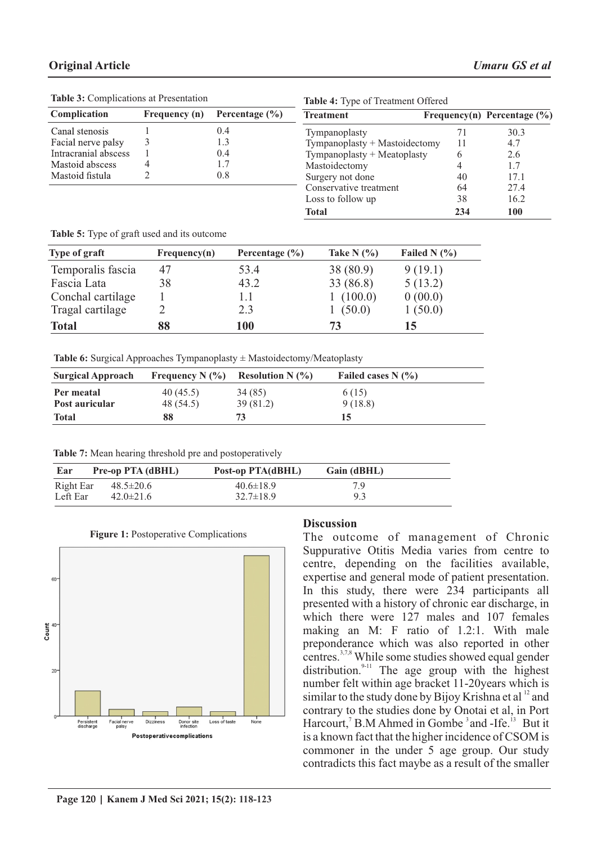| <b>Table 3:</b> Complications at Presentation |               |                    | <b>Table 4:</b> Type of Treatment Offered |     |                                 |
|-----------------------------------------------|---------------|--------------------|-------------------------------------------|-----|---------------------------------|
| Complication                                  | Frequency (n) | Percentage $(\% )$ | <b>Treatment</b>                          |     | Frequency(n) Percentage $(\% )$ |
| Canal stenosis                                |               | 0.4                | Tympanoplasty                             |     | 30.3                            |
| Facial nerve palsy                            |               | 1.3                | Tympanoplasty + Mastoidectomy             | 11  | 4.7                             |
| Intracranial abscess                          |               | 0.4                | Tympanoplasty + Meatoplasty               |     | 2.6                             |
| Mastoid abscess                               |               |                    | Mastoidectomy                             |     | 1.7                             |
| Mastoid fistula                               |               | 0.8                | Surgery not done                          | 40  | 17.1                            |
|                                               |               |                    | Conservative treatment                    | 64  | 27.4                            |
|                                               |               |                    | Loss to follow up                         | 38  | 16.2                            |
|                                               |               |                    | <b>Total</b>                              | 234 | 100                             |

**Table 3:** Complications at Presentation

**Table 5:** Type of graft used and its outcome

| Type of graft     | Frequency(n) | Percentage $(\% )$ | Take N $(\% )$ | Failed N $(\% )$ |
|-------------------|--------------|--------------------|----------------|------------------|
| Temporalis fascia | 47           | 53.4               | 38(80.9)       | 9(19.1)          |
| Fascia Lata       | 38           | 43.2               | 33 (86.8)      | 5(13.2)          |
| Conchal cartilage |              | 1.1                | 1(100.0)       | 0(00.0)          |
| Tragal cartilage  |              | 2.3                | 1(50.0)        | 1(50.0)          |
| <b>Total</b>      | 88           | 100                | 73             | 15               |

**Table 6:** Surgical Approaches Tympanoplasty ± Mastoidectomy/Meatoplasty

| <b>Surgical Approach</b> |           | Frequency N $(\% )$ Resolution N $(\% )$ | Failed cases $N(\%)$ |  |
|--------------------------|-----------|------------------------------------------|----------------------|--|
| Per meatal               | 40(45.5)  | 34 (85)                                  | 6 (15)               |  |
| Post auricular           | 48 (54.5) | 39 (81.2)                                | 9(18.8)              |  |
| <b>Total</b>             | 88        | 73                                       | 15                   |  |

| Table 7: Mean hearing threshold pre and postoperatively |  |  |  |  |  |
|---------------------------------------------------------|--|--|--|--|--|
|---------------------------------------------------------|--|--|--|--|--|

| Ear       | Pre-op PTA (dBHL) | Post-op PTA(dBHL) | Gain (dBHL) |
|-----------|-------------------|-------------------|-------------|
| Right Ear | $48.5 \pm 20.6$   | $40.6 \pm 18.9$   | 7 Q         |
| Left Ear  | $42.0 \pm 21.6$   | $32.7 \pm 18.9$   | 9.3         |



### **Figure 1: Postoperative Complications**

## **Discussion**

The outcome of management of Chronic Suppurative Otitis Media varies from centre to centre, depending on the facilities available, expertise and general mode of patient presentation. In this study, there were 234 participants all presented with a history of chronic ear discharge, in which there were 127 males and 107 females making an M: F ratio of 1.2:1. With male preponderance which was also reported in other centres.<sup>3,7,8</sup> While some studies showed equal gender distribution. $9-11$  The age group with the highest number felt within age bracket 11-20years which is similar to the study done by Bijoy Krishna et al  $^{12}$  and contrary to the studies done by Onotai et al, in Port Harcourt,<sup>7</sup> B.M Ahmed in Gombe<sup>3</sup> and -Ife.<sup>13</sup> But it is a known fact that the higher incidence of CSOM is commoner in the under 5 age group. Our study contradicts this fact maybe as a result of the smaller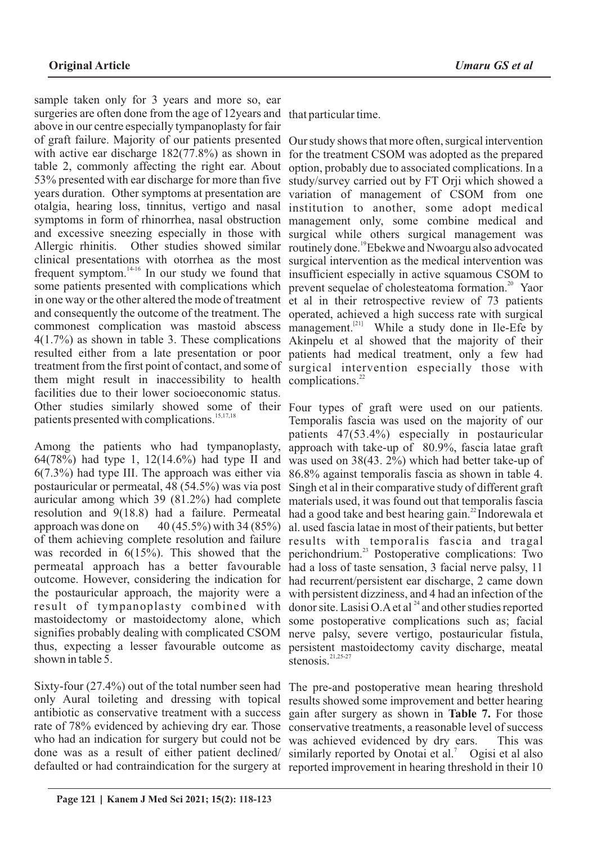sample taken only for 3 years and more so, ear surgeries are often done from the age of 12years and that particular time. above in our centre especially tympanoplasty for fair of graft failure. Majority of our patients presented with active ear discharge 182(77.8%) as shown in table 2, commonly affecting the right ear. About 53% presented with ear discharge for more than five years duration. Other symptoms at presentation are otalgia, hearing loss, tinnitus, vertigo and nasal symptoms in form of rhinorrhea, nasal obstruction management only, some combine medical and and excessive sneezing especially in those with Allergic rhinitis. Other studies showed similar clinical presentations with otorrhea as the most and consequently the outcome of the treatment. The commonest complication was mastoid abscess 4(1.7%) as shown in table 3. These complications resulted either from a late presentation or poor treatment from the first point of contact, and some of surgical intervention especially those with them might result in inaccessibility to health complications.<sup>22</sup> facilities due to their lower socioeconomic status. patients presented with complications.<sup>15,17,18</sup>

Among the patients who had tympanoplasty, 64(78%) had type 1, 12(14.6%) had type II and 6(7.3%) had type III. The approach was either via postauricular or permeatal, 48 (54.5%) was via post auricular among which 39 (81.2%) had complete resolution and 9(18.8) had a failure. Permeatal approach was done on  $40 (45.5\%)$  with 34 (85%) of them achieving complete resolution and failure was recorded in 6(15%). This showed that the permeatal approach has a better favourable outcome. However, considering the indication for the postauricular approach, the majority were a result of tympanoplasty combined with mastoidectomy or mastoidectomy alone, which signifies probably dealing with complicated CSOM thus, expecting a lesser favourable outcome as shown in table 5.

Sixty-four (27.4%) out of the total number seen had only Aural toileting and dressing with topical antibiotic as conservative treatment with a success rate of 78% evidenced by achieving dry ear. Those who had an indication for surgery but could not be done was as a result of either patient declined/

frequent symptom.<sup>14-16</sup> In our study we found that insufficient especially in active squamous CSOM to some patients presented with complications which prevent sequelae of cholesteatoma formation.<sup>20</sup> Yaor in one way or the other altered the mode of treatment et al in their retrospective review of 73 patients Our study shows that more often, surgical intervention for the treatment CSOM was adopted as the prepared option, probably due to associated complications. In a study/survey carried out by FT Orji which showed a variation of management of CSOM from one institution to another, some adopt medical surgical while others surgical management was routinely done.<sup>19</sup>Ebekwe and Nwoargu also advocated surgical intervention as the medical intervention was operated, achieved a high success rate with surgical management. <sup>[21]</sup> While a study done in Ile-Efe by Akinpelu et al showed that the majority of their patients had medical treatment, only a few had

Other studies similarly showed some of their Four types of graft were used on our patients. Temporalis fascia was used on the majority of our patients 47(53.4%) especially in postauricular approach with take-up of 80.9%, fascia latae graft was used on 38(43. 2%) which had better take-up of 86.8% against temporalis fascia as shown in table 4. Singh et al in their comparative study of different graft materials used, it was found out that temporalis fascia had a good take and best hearing gain. $^{22}$ Indorewala et al. used fascia latae in most of their patients, but better results with temporalis fascia and tragal perichondrium. $^{23}$  Postoperative complications: Two had a loss of taste sensation, 3 facial nerve palsy, 11 had recurrent/persistent ear discharge, 2 came down with persistent dizziness, and 4 had an infection of the donor site. Lasisi O.A et al  $^{24}$  and other studies reported some postoperative complications such as; facial nerve palsy, severe vertigo, postauricular fistula, persistent mastoidectomy cavity discharge, meatal stenosis. $21,25-27$ 

defaulted or had contraindication for the surgery at reported improvement in hearing threshold in their 10 The pre-and postoperative mean hearing threshold results showed some improvement and better hearing gain after surgery as shown in **Table 7.** For those conservative treatments, a reasonable level of success was achieved evidenced by dry ears. This was similarly reported by Onotai et al.<sup>7</sup> Ogisi et al also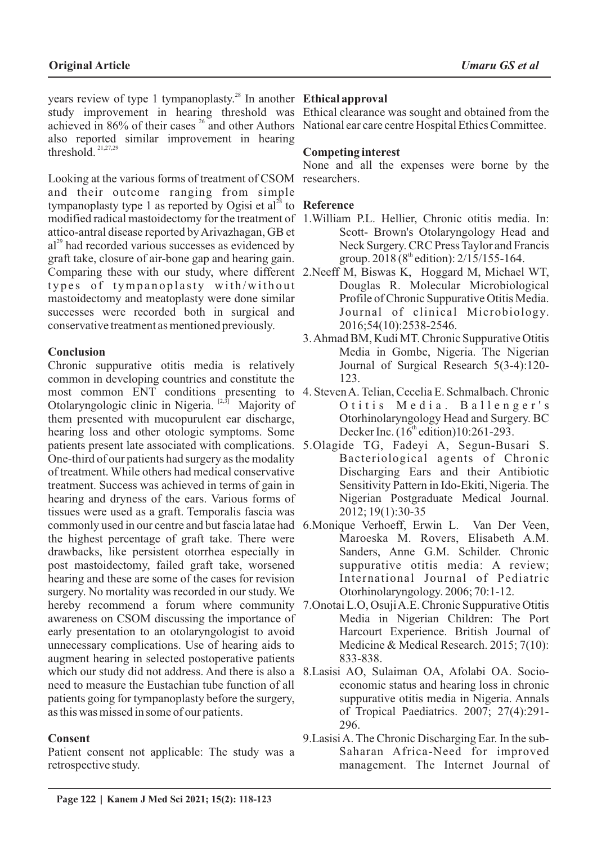years review of type 1 tympanoplasty.<sup>28</sup> In another **Ethical approval** study improvement in hearing threshold was Ethical clearance was sought and obtained from the achieved in 86% of their cases <sup>26</sup> and other Authors National ear care centre Hospital Ethics Committee. also reported similar improvement in hearing threshold.<sup>21,27,29</sup>

Looking at the various forms of treatment of CSOM researchers. and their outcome ranging from simple tympanoplasty type 1 as reported by Ogisi et al<sup>28</sup> to **Reference** modified radical mastoidectomy for the treatment of 1.William P.L. Hellier, Chronic otitis media. In: attico-antral disease reported by Arivazhagan, GB et  $a^{29}$  had recorded various successes as evidenced by graft take, closure of air-bone gap and hearing gain. Comparing these with our study, where different 2.Neeff M, Biswas K, Hoggard M, Michael WT, types of tympanoplasty with/without mastoidectomy and meatoplasty were done similar successes were recorded both in surgical and conservative treatment as mentioned previously.

# **Conclusion**

Chronic suppurative otitis media is relatively common in developing countries and constitute the most common ENT conditions presenting to 4. Steven A. Telian, Cecelia E. Schmalbach. Chronic Otolaryngologic clinic in Nigeria.  $[2,3]$  Majority of them presented with mucopurulent ear discharge, hearing loss and other otologic symptoms. Some patients present late associated with complications. 5.Olagide TG, Fadeyi A, Segun-Busari S. One-third of our patients had surgery as the modality of treatment. While others had medical conservative treatment. Success was achieved in terms of gain in hearing and dryness of the ears. Various forms of tissues were used as a graft. Temporalis fascia was commonly used in our centre and but fascia latae had 6.Monique Verhoeff, Erwin L. Van Der Veen, the highest percentage of graft take. There were drawbacks, like persistent otorrhea especially in post mastoidectomy, failed graft take, worsened hearing and these are some of the cases for revision surgery. No mortality was recorded in our study. We hereby recommend a forum where community 7.Onotai L.O, Osuji A.E. Chronic Suppurative Otitis awareness on CSOM discussing the importance of early presentation to an otolaryngologist to avoid unnecessary complications. Use of hearing aids to augment hearing in selected postoperative patients which our study did not address. And there is also a 8.Lasisi AO, Sulaiman OA, Afolabi OA. Socioneed to measure the Eustachian tube function of all patients going for tympanoplasty before the surgery, as this was missed in some of our patients.

# **Consent**

Patient consent not applicable: The study was a retrospective study.

## **Competing interest**

None and all the expenses were borne by the

- Scott- Brown's Otolaryngology Head and Neck Surgery. CRC Press Taylor and Francis group. 2018 (8<sup>th</sup> edition):  $2/15/155-164$ .
- Douglas R. Molecular Microbiological Profile of Chronic Suppurative Otitis Media. Journal of clinical Microbiology. 2016;54(10):2538-2546.
- 3. Ahmad BM, Kudi MT. Chronic Suppurative Otitis Media in Gombe, Nigeria. The Nigerian Journal of Surgical Research 5(3-4):120- 123.
- O titis Media. Ballenger's Otorhinolaryngology Head and Surgery. BC Decker Inc.  $(16<sup>th</sup>$  edition)10:261-293.
- Bacteriological agents of Chronic Discharging Ears and their Antibiotic Sensitivity Pattern in Ido-Ekiti, Nigeria. The Nigerian Postgraduate Medical Journal. 2012; 19(1):30-35
- Maroeska M. Rovers, Elisabeth A.M. Sanders, Anne G.M. Schilder. Chronic suppurative otitis media: A review; International Journal of Pediatric Otorhinolaryngology. 2006; 70:1-12.
- Media in Nigerian Children: The Port Harcourt Experience. British Journal of Medicine & Medical Research. 2015; 7(10): 833-838.
- economic status and hearing loss in chronic suppurative otitis media in Nigeria. Annals of Tropical Paediatrics. 2007; 27(4):291- 296.
- 9.Lasisi A. The Chronic Discharging Ear. In the sub-Saharan Africa-Need for improved management. The Internet Journal of